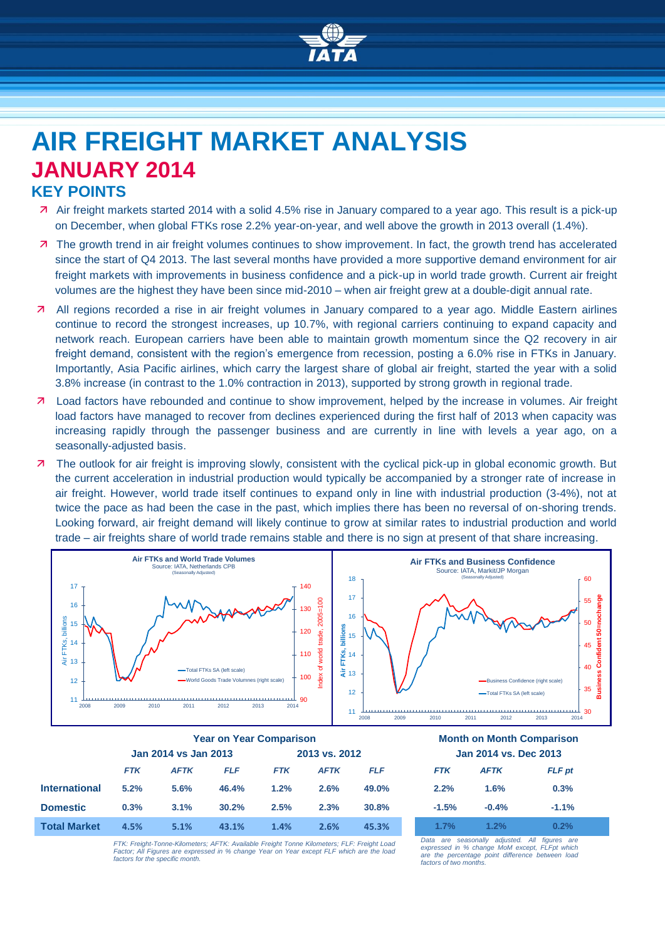

# **AIR FREIGHT MARKET ANALYSIS JANUARY 2014 KEY POINTS**

- Air freight markets started 2014 with a solid 4.5% rise in January compared to a year ago. This result is a pick-up on December, when global FTKs rose 2.2% year-on-year, and well above the growth in 2013 overall (1.4%).
- 7 The growth trend in air freight volumes continues to show improvement. In fact, the growth trend has accelerated since the start of Q4 2013. The last several months have provided a more supportive demand environment for air freight markets with improvements in business confidence and a pick-up in world trade growth. Current air freight volumes are the highest they have been since mid-2010 – when air freight grew at a double-digit annual rate.
- All regions recorded a rise in air freight volumes in January compared to a year ago. Middle Eastern airlines continue to record the strongest increases, up 10.7%, with regional carriers continuing to expand capacity and network reach. European carriers have been able to maintain growth momentum since the Q2 recovery in air freight demand, consistent with the region's emergence from recession, posting a 6.0% rise in FTKs in January. Importantly, Asia Pacific airlines, which carry the largest share of global air freight, started the year with a solid 3.8% increase (in contrast to the 1.0% contraction in 2013), supported by strong growth in regional trade.
- **7** Load factors have rebounded and continue to show improvement, helped by the increase in volumes. Air freight load factors have managed to recover from declines experienced during the first half of 2013 when capacity was increasing rapidly through the passenger business and are currently in line with levels a year ago, on a seasonally-adjusted basis.
- **7** The outlook for air freight is improving slowly, consistent with the cyclical pick-up in global economic growth. But the current acceleration in industrial production would typically be accompanied by a stronger rate of increase in air freight. However, world trade itself continues to expand only in line with industrial production (3-4%), not at twice the pace as had been the case in the past, which implies there has been no reversal of on-shoring trends. Looking forward, air freight demand will likely continue to grow at similar rates to industrial production and world trade – air freights share of world trade remains stable and there is no sign at present of that share increasing.



|                      | <b>Year on Year Comparison</b> |             |               |            |             | <b>Month on Month Compariso</b> |                       |             |               |
|----------------------|--------------------------------|-------------|---------------|------------|-------------|---------------------------------|-----------------------|-------------|---------------|
|                      | Jan 2014 vs Jan 2013           |             | 2013 vs. 2012 |            |             |                                 | Jan 2014 vs. Dec 2013 |             |               |
|                      | <b>FTK</b>                     | <b>AFTK</b> | <b>FLF</b>    | <b>FTK</b> | <b>AFTK</b> | <b>FLF</b>                      | <b>FTK</b>            | <b>AFTK</b> | <b>FLF</b> pt |
| <b>International</b> | 5.2%                           | 5.6%        | 46.4%         | 1.2%       | 2.6%        | 49.0%                           | 2.2%                  | 1.6%        | 0.3%          |
| <b>Domestic</b>      | 0.3%                           | 3.1%        | 30.2%         | 2.5%       | 2.3%        | 30.8%                           | $-1.5%$               | $-0.4%$     | $-1.1%$       |
| <b>Total Market</b>  | 4.5%                           | 5.1%        | 43.1%         | 1.4%       | 2.6%        | 45.3%                           | 1.7%                  | 1.2%        | 0.2%          |

*FTK: Freight-Tonne-Kilometers; AFTK: Available Freight Tonne Kilometers; FLF: Freight Load Factor; All Figures are expressed in % change Year on Year except FLF which are the load factors for the specific month.*

## **Year on Year Comparison Month on Month Comparison Jan 2014 vs Jan 2013 2013 vs. 2012 Jan 2014 vs. Dec 2013**

| <b>FTK</b>               | <b>AFTK</b>         | <b>FLF</b> pt                              |
|--------------------------|---------------------|--------------------------------------------|
| 2.2%                     | 1.6%                | 0.3%                                       |
| $-1.5%$                  | $-0.4%$             | $-1.1%$                                    |
| 1.7%                     | 1.2%                | 0.2%                                       |
| D <sub>0</sub><br>$\sim$ | conconally adjusted | $\Lambda$ II<br>$f_{\text{ICU}}$<br>$\sim$ |

*Data are seasonally adjusted. All figures are expressed in % change MoM except, FLFpt which are the percentage point difference between load factors of two months.*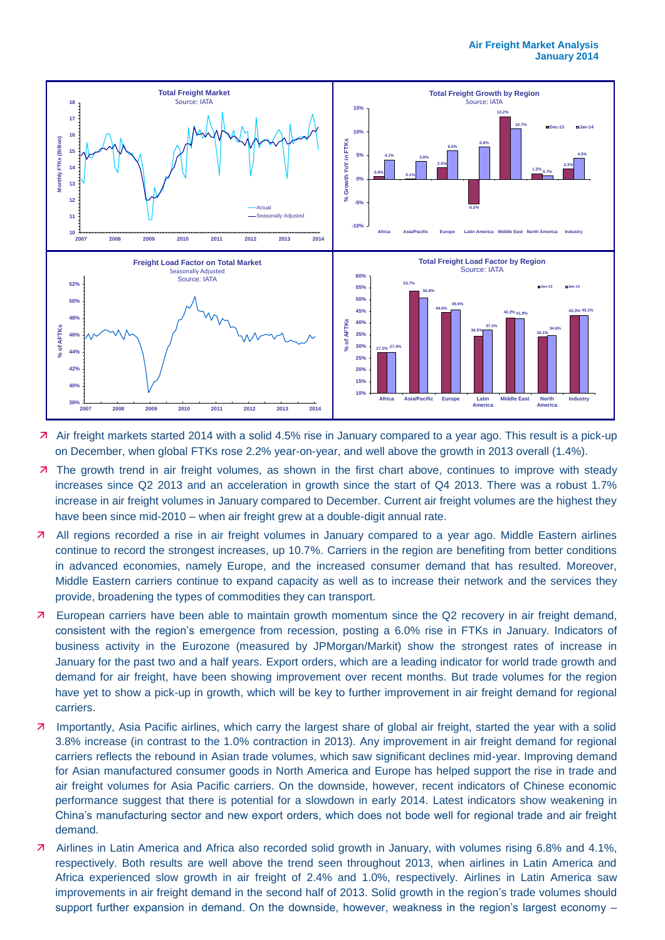

- Air freight markets started 2014 with a solid 4.5% rise in January compared to a year ago. This result is a pick-up on December, when global FTKs rose 2.2% year-on-year, and well above the growth in 2013 overall (1.4%).
- **7** The growth trend in air freight volumes, as shown in the first chart above, continues to improve with steady increases since Q2 2013 and an acceleration in growth since the start of Q4 2013. There was a robust 1.7% increase in air freight volumes in January compared to December. Current air freight volumes are the highest they have been since mid-2010 – when air freight grew at a double-digit annual rate.
- All regions recorded a rise in air freight volumes in January compared to a year ago. Middle Eastern airlines continue to record the strongest increases, up 10.7%. Carriers in the region are benefiting from better conditions in advanced economies, namely Europe, and the increased consumer demand that has resulted. Moreover, Middle Eastern carriers continue to expand capacity as well as to increase their network and the services they provide, broadening the types of commodities they can transport.
- **7** European carriers have been able to maintain growth momentum since the Q2 recovery in air freight demand, consistent with the region's emergence from recession, posting a 6.0% rise in FTKs in January. Indicators of business activity in the Eurozone (measured by JPMorgan/Markit) show the strongest rates of increase in January for the past two and a half years. Export orders, which are a leading indicator for world trade growth and demand for air freight, have been showing improvement over recent months. But trade volumes for the region have yet to show a pick-up in growth, which will be key to further improvement in air freight demand for regional carriers.
- 7 Importantly, Asia Pacific airlines, which carry the largest share of global air freight, started the year with a solid 3.8% increase (in contrast to the 1.0% contraction in 2013). Any improvement in air freight demand for regional carriers reflects the rebound in Asian trade volumes, which saw significant declines mid-year. Improving demand for Asian manufactured consumer goods in North America and Europe has helped support the rise in trade and air freight volumes for Asia Pacific carriers. On the downside, however, recent indicators of Chinese economic performance suggest that there is potential for a slowdown in early 2014. Latest indicators show weakening in China's manufacturing sector and new export orders, which does not bode well for regional trade and air freight demand.
- Airlines in Latin America and Africa also recorded solid growth in January, with volumes rising 6.8% and 4.1%, respectively. Both results are well above the trend seen throughout 2013, when airlines in Latin America and Africa experienced slow growth in air freight of 2.4% and 1.0%, respectively. Airlines in Latin America saw improvements in air freight demand in the second half of 2013. Solid growth in the region's trade volumes should support further expansion in demand. On the downside, however, weakness in the region's largest economy –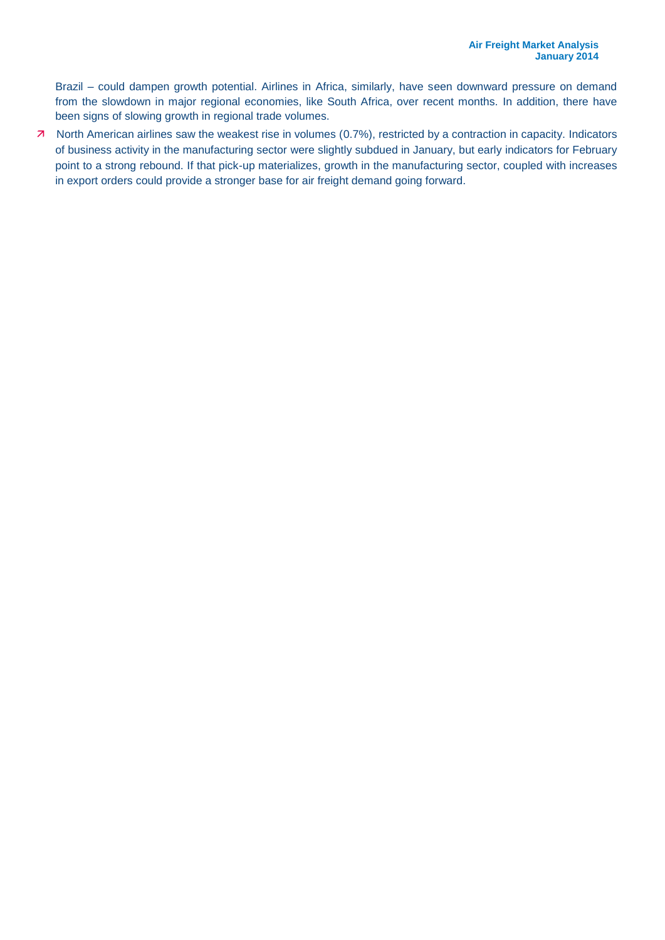Brazil – could dampen growth potential. Airlines in Africa, similarly, have seen downward pressure on demand from the slowdown in major regional economies, like South Africa, over recent months. In addition, there have been signs of slowing growth in regional trade volumes.

7 North American airlines saw the weakest rise in volumes (0.7%), restricted by a contraction in capacity. Indicators of business activity in the manufacturing sector were slightly subdued in January, but early indicators for February point to a strong rebound. If that pick-up materializes, growth in the manufacturing sector, coupled with increases in export orders could provide a stronger base for air freight demand going forward.